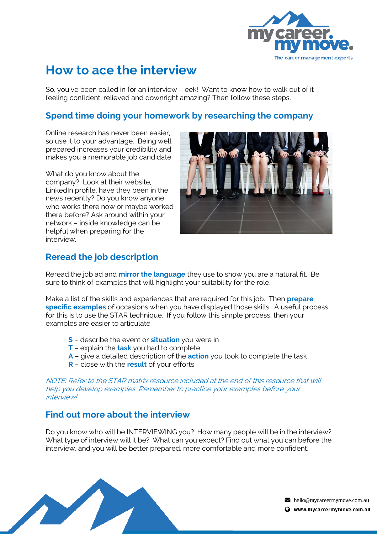

# **How to ace the interview**

So, you've been called in for an interview – eek! Want to know how to walk out of it feeling confident, relieved and downright amazing? Then follow these steps.

### **Spend time doing your homework by researching the company**

Online research has never been easier, so use it to your advantage. Being well prepared increases your credibility and makes you a memorable job candidate.

What do you know about the company? Look at their website, LinkedIn profile, have they been in the news recently? Do you know anyone who works there now or maybe worked there before? Ask around within your network – inside knowledge can be helpful when preparing for the interview.



## **Reread the job description**

Reread the job ad and **mirror the language** they use to show you are a natural fit. Be sure to think of examples that will highlight your suitability for the role.

Make a list of the skills and experiences that are required for this job. Then **prepare specific examples** of occasions when you have displayed those skills. A useful process for this is to use the STAR technique. If you follow this simple process, then your examples are easier to articulate.

- **S** describe the event or **situation** you were in
- **T** explain the **task** you had to complete
- **A** give a detailed description of the **action** you took to complete the task
- **R** close with the **result** of your efforts

NOTE: Refer to the STAR matrix resource included at the end of this resource that will help you develop examples. Remember to practice your examples before your interview!

### **Find out more about the interview**

Do you know who will be INTERVIEWING you? How many people will be in the interview? What type of interview will it be? What can you expect? Find out what you can before the interview, and you will be better prepared, more comfortable and more confident.



hello@mycareermymove.com.au

Www.mycareermymove.com.au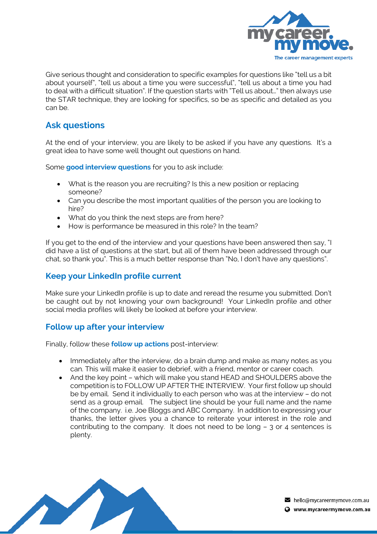

Give serious thought and consideration to specific examples for questions like "tell us a bit about yourself", "tell us about a time you were successful", "tell us about a time you had to deal with a difficult situation". If the question starts with "Tell us about…" then always use the STAR technique, they are looking for specifics, so be as specific and detailed as you can be.

## **Ask questions**

At the end of your interview, you are likely to be asked if you have any questions. It's a great idea to have some well thought out questions on hand.

Some **good interview questions** for you to ask include:

- What is the reason you are recruiting? Is this a new position or replacing someone?
- Can you describe the most important qualities of the person you are looking to hire?
- What do you think the next steps are from here?
- How is performance be measured in this role? In the team?

If you get to the end of the interview and your questions have been answered then say, "I did have a list of questions at the start, but all of them have been addressed through our chat, so thank you". This is a much better response than "No, I don't have any questions".

#### **Keep your LinkedIn profile current**

Make sure your LinkedIn profile is up to date and reread the resume you submitted. Don't be caught out by not knowing your own background! Your LinkedIn profile and other social media profiles will likely be looked at before your interview.

#### **Follow up after your interview**

Finally, follow these **follow up actions** post-interview:

- Immediately after the interview, do a brain dump and make as many notes as you can. This will make it easier to debrief, with a friend, mentor or career coach.
- And the key point which will make you stand HEAD and SHOULDERS above the competition is to FOLLOW UP AFTER THE INTERVIEW. Your first follow up should be by email. Send it individually to each person who was at the interview – do not send as a group email. The subject line should be your full name and the name of the company. i.e. Joe Bloggs and ABC Company. In addition to expressing your thanks, the letter gives you a chance to reiterate your interest in the role and contributing to the company. It does not need to be long – 3 or 4 sentences is plenty.



hello@mycareermymove.com.au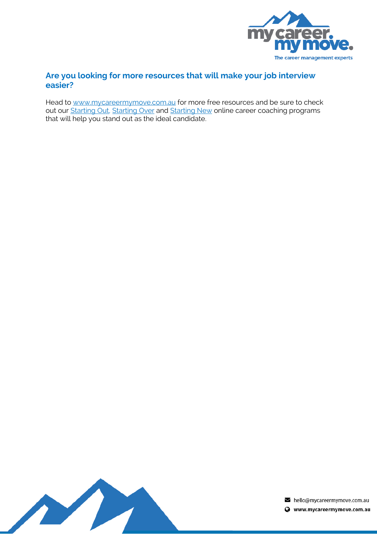

#### **Are you looking for more resources that will make your job interview easier?**

Head to www.mycareermymove.com.au for more free resources and be sure to check out our Starting Out, Starting Over and Starting New online career coaching programs that will help you stand out as the ideal candidate.



 $\blacktriangleright$  hello@mycareermymove.com.au

Www.mycareermymove.com.au